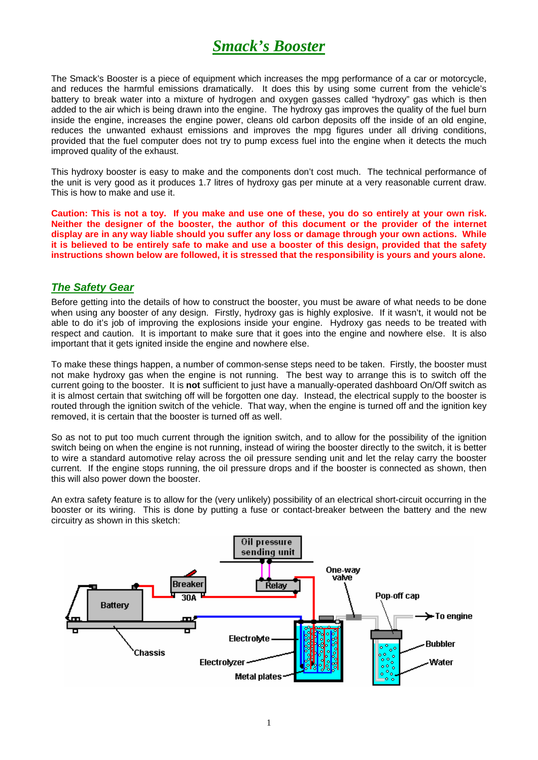# *Smack's Booster*

The Smack's Booster is a piece of equipment which increases the mpg performance of a car or motorcycle, and reduces the harmful emissions dramatically. It does this by using some current from the vehicle's battery to break water into a mixture of hydrogen and oxygen gasses called "hydroxy" gas which is then added to the air which is being drawn into the engine. The hydroxy gas improves the quality of the fuel burn inside the engine, increases the engine power, cleans old carbon deposits off the inside of an old engine, reduces the unwanted exhaust emissions and improves the mpg figures under all driving conditions, provided that the fuel computer does not try to pump excess fuel into the engine when it detects the much improved quality of the exhaust.

This hydroxy booster is easy to make and the components don't cost much. The technical performance of the unit is very good as it produces 1.7 litres of hydroxy gas per minute at a very reasonable current draw. This is how to make and use it.

**Caution: This is not a toy. If you make and use one of these, you do so entirely at your own risk. Neither the designer of the booster, the author of this document or the provider of the internet display are in any way liable should you suffer any loss or damage through your own actions. While it is believed to be entirely safe to make and use a booster of this design, provided that the safety instructions shown below are followed, it is stressed that the responsibility is yours and yours alone.**

### *The Safety Gear*

Before getting into the details of how to construct the booster, you must be aware of what needs to be done when using any booster of any design. Firstly, hydroxy gas is highly explosive. If it wasn't, it would not be able to do it's job of improving the explosions inside your engine. Hydroxy gas needs to be treated with respect and caution. It is important to make sure that it goes into the engine and nowhere else. It is also important that it gets ignited inside the engine and nowhere else.

To make these things happen, a number of common-sense steps need to be taken. Firstly, the booster must not make hydroxy gas when the engine is not running. The best way to arrange this is to switch off the current going to the booster. It is **not** sufficient to just have a manually-operated dashboard On/Off switch as it is almost certain that switching off will be forgotten one day. Instead, the electrical supply to the booster is routed through the ignition switch of the vehicle. That way, when the engine is turned off and the ignition key removed, it is certain that the booster is turned off as well.

So as not to put too much current through the ignition switch, and to allow for the possibility of the ignition switch being on when the engine is not running, instead of wiring the booster directly to the switch, it is better to wire a standard automotive relay across the oil pressure sending unit and let the relay carry the booster current. If the engine stops running, the oil pressure drops and if the booster is connected as shown, then this will also power down the booster.

An extra safety feature is to allow for the (very unlikely) possibility of an electrical short-circuit occurring in the booster or its wiring. This is done by putting a fuse or contact-breaker between the battery and the new circuitry as shown in this sketch:

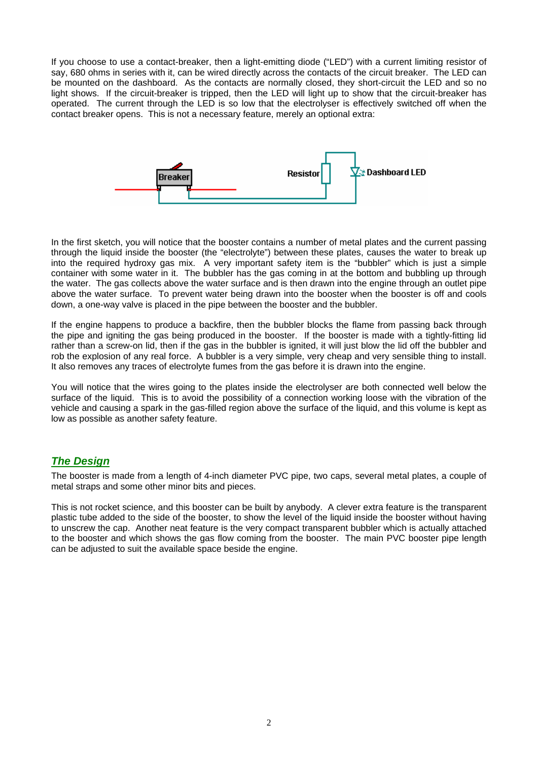If you choose to use a contact-breaker, then a light-emitting diode ("LED") with a current limiting resistor of say, 680 ohms in series with it, can be wired directly across the contacts of the circuit breaker. The LED can be mounted on the dashboard. As the contacts are normally closed, they short-circuit the LED and so no light shows. If the circuit-breaker is tripped, then the LED will light up to show that the circuit-breaker has operated. The current through the LED is so low that the electrolyser is effectively switched off when the contact breaker opens. This is not a necessary feature, merely an optional extra:



In the first sketch, you will notice that the booster contains a number of metal plates and the current passing through the liquid inside the booster (the "electrolyte") between these plates, causes the water to break up into the required hydroxy gas mix. A very important safety item is the "bubbler" which is just a simple container with some water in it. The bubbler has the gas coming in at the bottom and bubbling up through the water. The gas collects above the water surface and is then drawn into the engine through an outlet pipe above the water surface. To prevent water being drawn into the booster when the booster is off and cools down, a one-way valve is placed in the pipe between the booster and the bubbler.

If the engine happens to produce a backfire, then the bubbler blocks the flame from passing back through the pipe and igniting the gas being produced in the booster. If the booster is made with a tightly-fitting lid rather than a screw-on lid, then if the gas in the bubbler is ignited, it will just blow the lid off the bubbler and rob the explosion of any real force. A bubbler is a very simple, very cheap and very sensible thing to install. It also removes any traces of electrolyte fumes from the gas before it is drawn into the engine.

You will notice that the wires going to the plates inside the electrolyser are both connected well below the surface of the liquid. This is to avoid the possibility of a connection working loose with the vibration of the vehicle and causing a spark in the gas-filled region above the surface of the liquid, and this volume is kept as low as possible as another safety feature.

#### *The Design*

The booster is made from a length of 4-inch diameter PVC pipe, two caps, several metal plates, a couple of metal straps and some other minor bits and pieces.

This is not rocket science, and this booster can be built by anybody. A clever extra feature is the transparent plastic tube added to the side of the booster, to show the level of the liquid inside the booster without having to unscrew the cap. Another neat feature is the very compact transparent bubbler which is actually attached to the booster and which shows the gas flow coming from the booster. The main PVC booster pipe length can be adjusted to suit the available space beside the engine.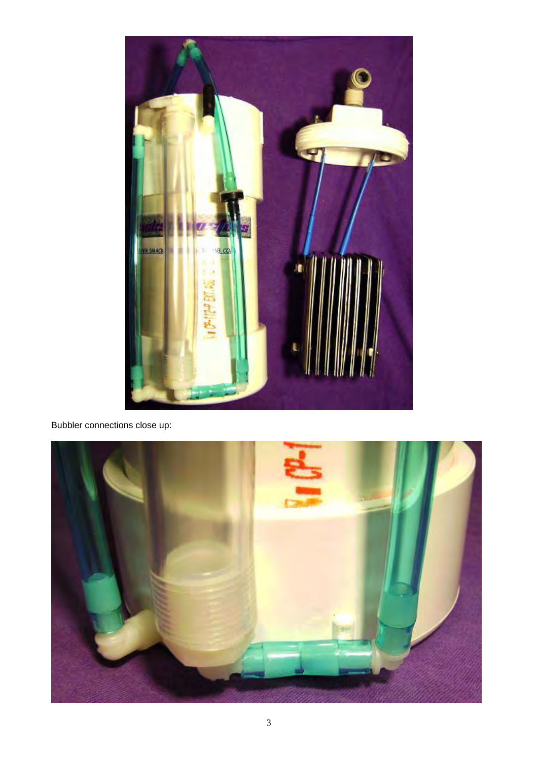

Bubbler connections close up:

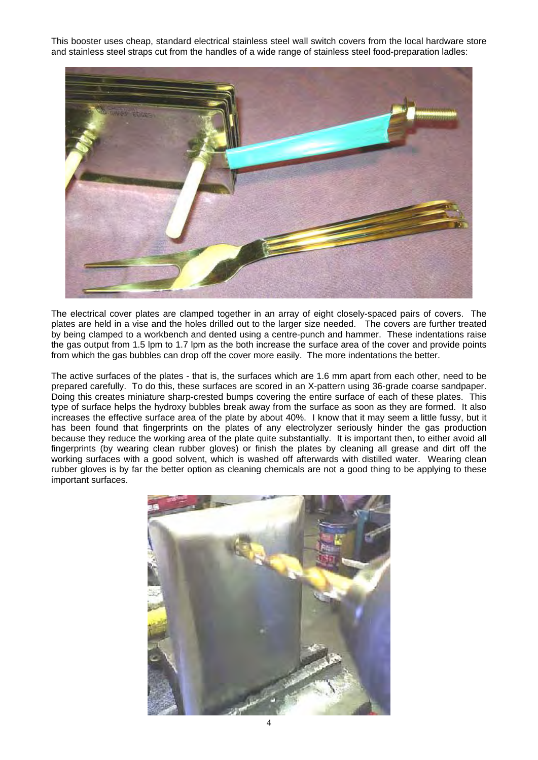This booster uses cheap, standard electrical stainless steel wall switch covers from the local hardware store and stainless steel straps cut from the handles of a wide range of stainless steel food-preparation ladles:



The electrical cover plates are clamped together in an array of eight closely-spaced pairs of covers. The plates are held in a vise and the holes drilled out to the larger size needed. The covers are further treated by being clamped to a workbench and dented using a centre-punch and hammer. These indentations raise the gas output from 1.5 lpm to 1.7 lpm as the both increase the surface area of the cover and provide points from which the gas bubbles can drop off the cover more easily. The more indentations the better.

The active surfaces of the plates - that is, the surfaces which are 1.6 mm apart from each other, need to be prepared carefully. To do this, these surfaces are scored in an X-pattern using 36-grade coarse sandpaper. Doing this creates miniature sharp-crested bumps covering the entire surface of each of these plates. This type of surface helps the hydroxy bubbles break away from the surface as soon as they are formed. It also increases the effective surface area of the plate by about 40%. I know that it may seem a little fussy, but it has been found that fingerprints on the plates of any electrolyzer seriously hinder the gas production because they reduce the working area of the plate quite substantially. It is important then, to either avoid all fingerprints (by wearing clean rubber gloves) or finish the plates by cleaning all grease and dirt off the working surfaces with a good solvent, which is washed off afterwards with distilled water. Wearing clean rubber gloves is by far the better option as cleaning chemicals are not a good thing to be applying to these important surfaces.

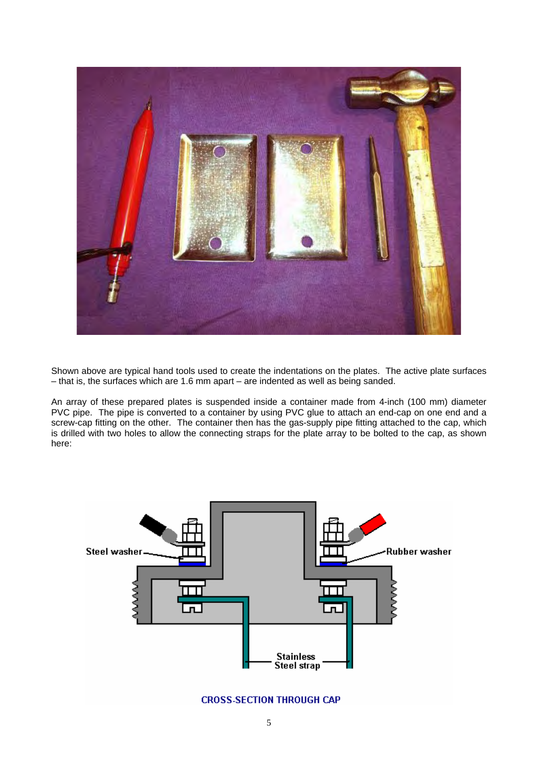

Shown above are typical hand tools used to create the indentations on the plates. The active plate surfaces – that is, the surfaces which are 1.6 mm apart – are indented as well as being sanded.

An array of these prepared plates is suspended inside a container made from 4-inch (100 mm) diameter PVC pipe. The pipe is converted to a container by using PVC glue to attach an end-cap on one end and a screw-cap fitting on the other. The container then has the gas-supply pipe fitting attached to the cap, which is drilled with two holes to allow the connecting straps for the plate array to be bolted to the cap, as shown here:

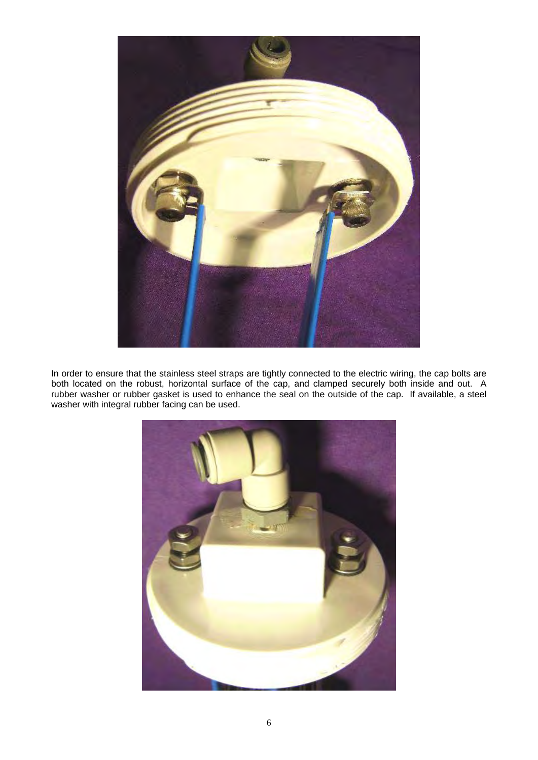

In order to ensure that the stainless steel straps are tightly connected to the electric wiring, the cap bolts are both located on the robust, horizontal surface of the cap, and clamped securely both inside and out. A rubber washer or rubber gasket is used to enhance the seal on the outside of the cap. If available, a steel washer with integral rubber facing can be used.

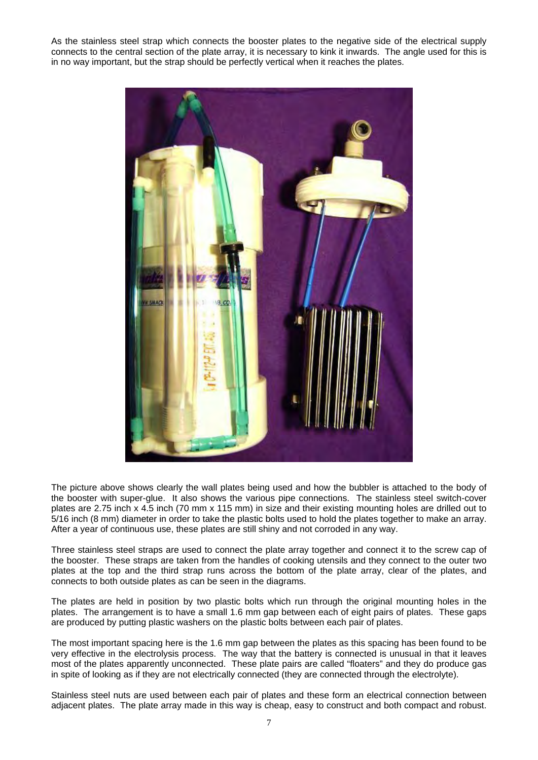As the stainless steel strap which connects the booster plates to the negative side of the electrical supply connects to the central section of the plate array, it is necessary to kink it inwards. The angle used for this is in no way important, but the strap should be perfectly vertical when it reaches the plates.



The picture above shows clearly the wall plates being used and how the bubbler is attached to the body of the booster with super-glue. It also shows the various pipe connections. The stainless steel switch-cover plates are 2.75 inch x 4.5 inch (70 mm x 115 mm) in size and their existing mounting holes are drilled out to 5/16 inch (8 mm) diameter in order to take the plastic bolts used to hold the plates together to make an array. After a year of continuous use, these plates are still shiny and not corroded in any way.

Three stainless steel straps are used to connect the plate array together and connect it to the screw cap of the booster. These straps are taken from the handles of cooking utensils and they connect to the outer two plates at the top and the third strap runs across the bottom of the plate array, clear of the plates, and connects to both outside plates as can be seen in the diagrams.

The plates are held in position by two plastic bolts which run through the original mounting holes in the plates. The arrangement is to have a small 1.6 mm gap between each of eight pairs of plates. These gaps are produced by putting plastic washers on the plastic bolts between each pair of plates.

The most important spacing here is the 1.6 mm gap between the plates as this spacing has been found to be very effective in the electrolysis process. The way that the battery is connected is unusual in that it leaves most of the plates apparently unconnected. These plate pairs are called "floaters" and they do produce gas in spite of looking as if they are not electrically connected (they are connected through the electrolyte).

Stainless steel nuts are used between each pair of plates and these form an electrical connection between adjacent plates. The plate array made in this way is cheap, easy to construct and both compact and robust.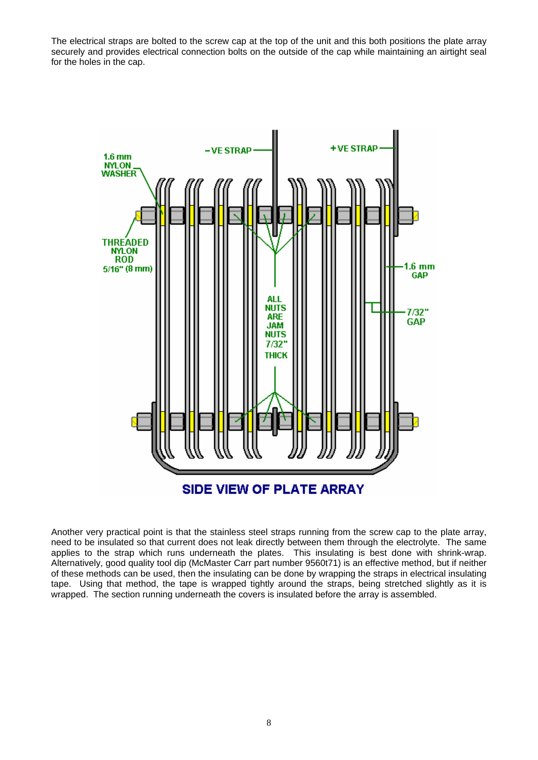The electrical straps are bolted to the screw cap at the top of the unit and this both positions the plate array securely and provides electrical connection bolts on the outside of the cap while maintaining an airtight seal for the holes in the cap.



Another very practical point is that the stainless steel straps running from the screw cap to the plate array, need to be insulated so that current does not leak directly between them through the electrolyte. The same applies to the strap which runs underneath the plates. This insulating is best done with shrink-wrap. Alternatively, good quality tool dip (McMaster Carr part number 9560t71) is an effective method, but if neither of these methods can be used, then the insulating can be done by wrapping the straps in electrical insulating tape. Using that method, the tape is wrapped tightly around the straps, being stretched slightly as it is wrapped. The section running underneath the covers is insulated before the array is assembled.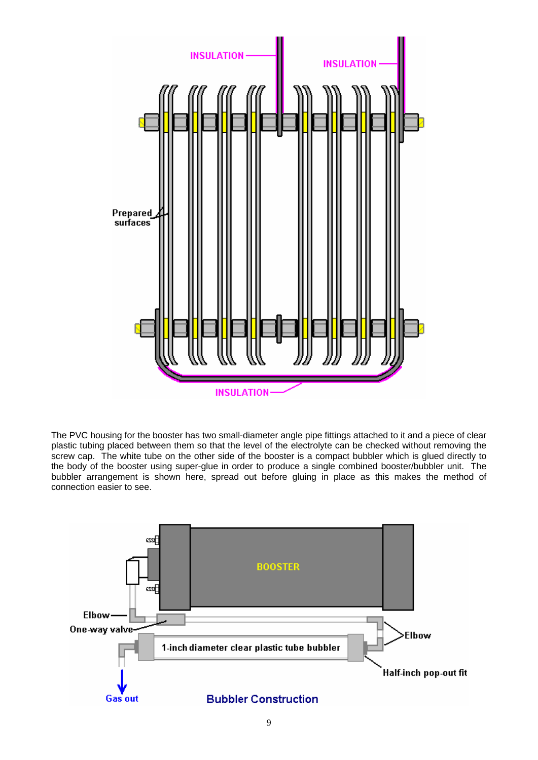

The PVC housing for the booster has two small-diameter angle pipe fittings attached to it and a piece of clear plastic tubing placed between them so that the level of the electrolyte can be checked without removing the screw cap. The white tube on the other side of the booster is a compact bubbler which is glued directly to the body of the booster using super-glue in order to produce a single combined booster/bubbler unit. The bubbler arrangement is shown here, spread out before gluing in place as this makes the method of connection easier to see.

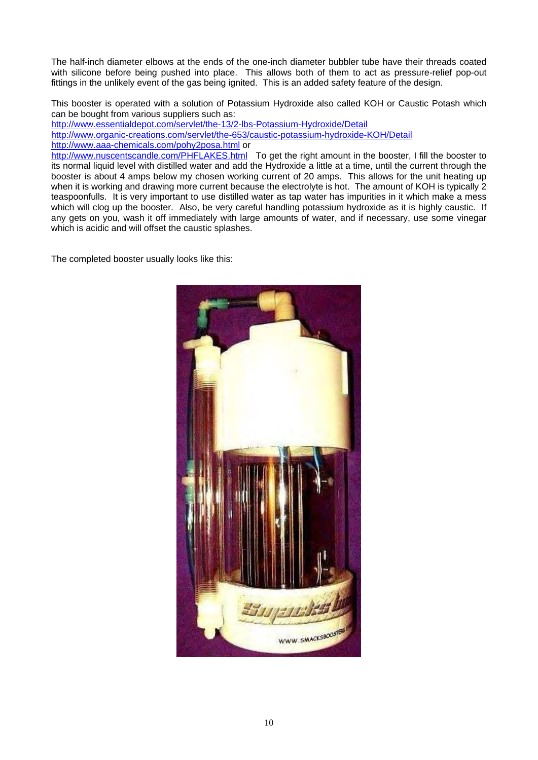The half-inch diameter elbows at the ends of the one-inch diameter bubbler tube have their threads coated with silicone before being pushed into place. This allows both of them to act as pressure-relief pop-out fittings in the unlikely event of the gas being ignited. This is an added safety feature of the design.

This booster is operated with a solution of Potassium Hydroxide also called KOH or Caustic Potash which can be bought from various suppliers such as:

<http://www.essentialdepot.com/servlet/the-13/2-lbs-Potassium-Hydroxide/Detail>

<http://www.organic-creations.com/servlet/the-653/caustic-potassium-hydroxide-KOH/Detail>

<http://www.aaa-chemicals.com/pohy2posa.html>or

<http://www.nuscentscandle.com/PHFLAKES.html>To get the right amount in the booster, I fill the booster to its normal liquid level with distilled water and add the Hydroxide a little at a time, until the current through the booster is about 4 amps below my chosen working current of 20 amps. This allows for the unit heating up when it is working and drawing more current because the electrolyte is hot. The amount of KOH is typically 2 teaspoonfulls. It is very important to use distilled water as tap water has impurities in it which make a mess which will clog up the booster. Also, be very careful handling potassium hydroxide as it is highly caustic. If any gets on you, wash it off immediately with large amounts of water, and if necessary, use some vinegar which is acidic and will offset the caustic splashes.

The completed booster usually looks like this:

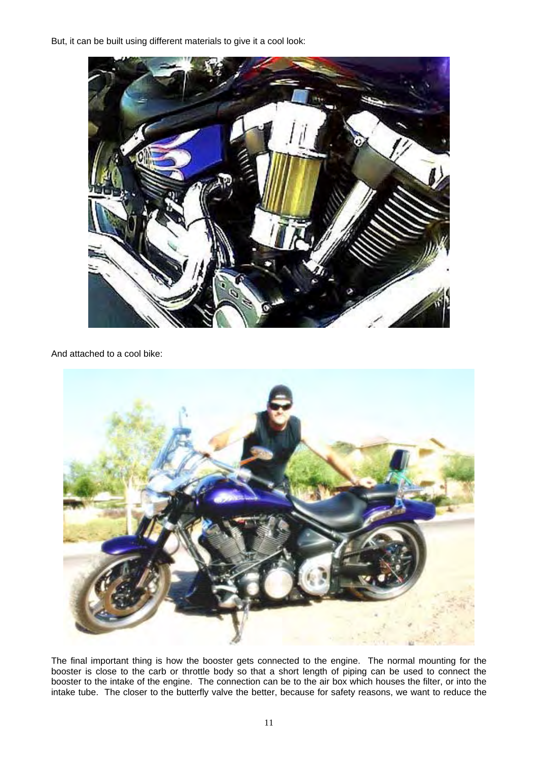But, it can be built using different materials to give it a cool look:



And attached to a cool bike:



The final important thing is how the booster gets connected to the engine. The normal mounting for the booster is close to the carb or throttle body so that a short length of piping can be used to connect the booster to the intake of the engine. The connection can be to the air box which houses the filter, or into the intake tube. The closer to the butterfly valve the better, because for safety reasons, we want to reduce the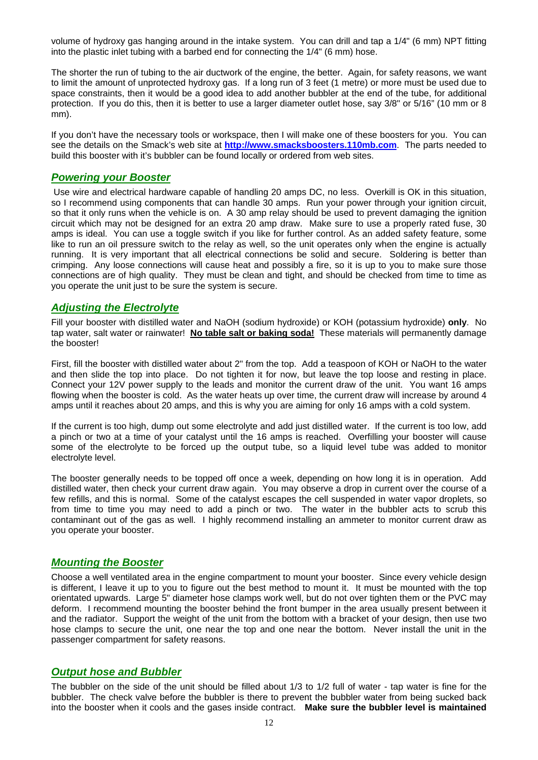volume of hydroxy gas hanging around in the intake system. You can drill and tap a 1/4" (6 mm) NPT fitting into the plastic inlet tubing with a barbed end for connecting the 1/4" (6 mm) hose.

The shorter the run of tubing to the air ductwork of the engine, the better. Again, for safety reasons, we want to limit the amount of unprotected hydroxy gas. If a long run of 3 feet (1 metre) or more must be used due to space constraints, then it would be a good idea to add another bubbler at the end of the tube, for additional protection. If you do this, then it is better to use a larger diameter outlet hose, say 3/8" or 5/16" (10 mm or 8 mm).

If you don't have the necessary tools or workspace, then I will make one of these boosters for you. You can see the details on the Smack's web site at **[http://www.smacksboosters.110mb.com](http://www.smacksboosters.110mb.com/)**. The parts needed to build this booster with it's bubbler can be found locally or ordered from web sites.

#### *Powering your Booster*

 Use wire and electrical hardware capable of handling 20 amps DC, no less. Overkill is OK in this situation, so I recommend using components that can handle 30 amps. Run your power through your ignition circuit, so that it only runs when the vehicle is on. A 30 amp relay should be used to prevent damaging the ignition circuit which may not be designed for an extra 20 amp draw. Make sure to use a properly rated fuse, 30 amps is ideal. You can use a toggle switch if you like for further control. As an added safety feature, some like to run an oil pressure switch to the relay as well, so the unit operates only when the engine is actually running. It is very important that all electrical connections be solid and secure. Soldering is better than crimping. Any loose connections will cause heat and possibly a fire, so it is up to you to make sure those connections are of high quality. They must be clean and tight, and should be checked from time to time as you operate the unit just to be sure the system is secure.

#### *Adjusting the Electrolyte*

Fill your booster with distilled water and NaOH (sodium hydroxide) or KOH (potassium hydroxide) **only**. No tap water, salt water or rainwater! **No table salt or baking soda!** These materials will permanently damage the booster!

First, fill the booster with distilled water about 2" from the top. Add a teaspoon of KOH or NaOH to the water and then slide the top into place. Do not tighten it for now, but leave the top loose and resting in place. Connect your 12V power supply to the leads and monitor the current draw of the unit. You want 16 amps flowing when the booster is cold. As the water heats up over time, the current draw will increase by around 4 amps until it reaches about 20 amps, and this is why you are aiming for only 16 amps with a cold system.

If the current is too high, dump out some electrolyte and add just distilled water. If the current is too low, add a pinch or two at a time of your catalyst until the 16 amps is reached. Overfilling your booster will cause some of the electrolyte to be forced up the output tube, so a liquid level tube was added to monitor electrolyte level.

The booster generally needs to be topped off once a week, depending on how long it is in operation. Add distilled water, then check your current draw again. You may observe a drop in current over the course of a few refills, and this is normal. Some of the catalyst escapes the cell suspended in water vapor droplets, so from time to time you may need to add a pinch or two. The water in the bubbler acts to scrub this contaminant out of the gas as well. I highly recommend installing an ammeter to monitor current draw as you operate your booster.

### *Mounting the Booster*

Choose a well ventilated area in the engine compartment to mount your booster. Since every vehicle design is different, I leave it up to you to figure out the best method to mount it. It must be mounted with the top orientated upwards. Large 5" diameter hose clamps work well, but do not over tighten them or the PVC may deform. I recommend mounting the booster behind the front bumper in the area usually present between it and the radiator. Support the weight of the unit from the bottom with a bracket of your design, then use two hose clamps to secure the unit, one near the top and one near the bottom. Never install the unit in the passenger compartment for safety reasons.

#### *Output hose and Bubbler*

The bubbler on the side of the unit should be filled about 1/3 to 1/2 full of water - tap water is fine for the bubbler. The check valve before the bubbler is there to prevent the bubbler water from being sucked back into the booster when it cools and the gases inside contract. **Make sure the bubbler level is maintained**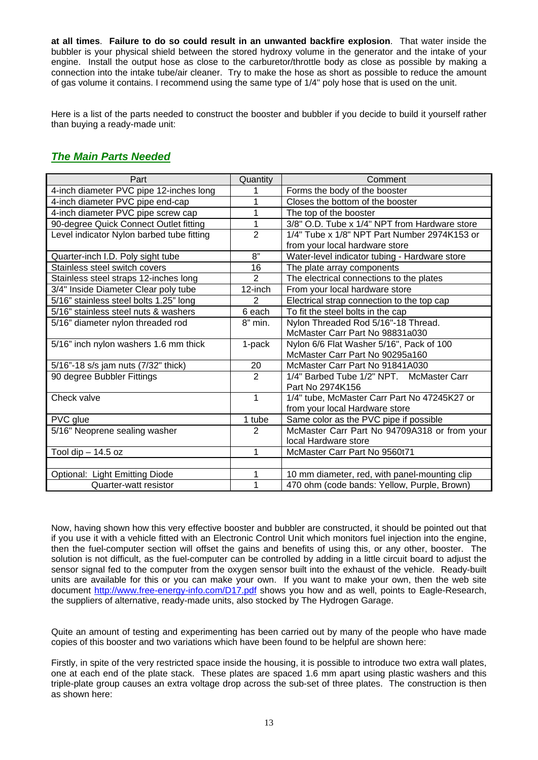**at all times**. **Failure to do so could result in an unwanted backfire explosion**. That water inside the bubbler is your physical shield between the stored hydroxy volume in the generator and the intake of your engine. Install the output hose as close to the carburetor/throttle body as close as possible by making a connection into the intake tube/air cleaner. Try to make the hose as short as possible to reduce the amount of gas volume it contains. I recommend using the same type of 1/4" poly hose that is used on the unit.

Here is a list of the parts needed to construct the booster and bubbler if you decide to build it yourself rather than buying a ready-made unit:

| Part                                      | Quantity       | Comment                                       |
|-------------------------------------------|----------------|-----------------------------------------------|
| 4-inch diameter PVC pipe 12-inches long   |                | Forms the body of the booster                 |
| 4-inch diameter PVC pipe end-cap          |                | Closes the bottom of the booster              |
| 4-inch diameter PVC pipe screw cap        | 1              | The top of the booster                        |
| 90-degree Quick Connect Outlet fitting    | 1              | 3/8" O.D. Tube x 1/4" NPT from Hardware store |
| Level indicator Nylon barbed tube fitting | $\overline{2}$ | 1/4" Tube x 1/8" NPT Part Number 2974K153 or  |
|                                           |                | from your local hardware store                |
| Quarter-inch I.D. Poly sight tube         | 8"             | Water-level indicator tubing - Hardware store |
| Stainless steel switch covers             | 16             | The plate array components                    |
| Stainless steel straps 12-inches long     | $\overline{2}$ | The electrical connections to the plates      |
| 3/4" Inside Diameter Clear poly tube      | 12-inch        | From your local hardware store                |
| 5/16" stainless steel bolts 1.25" long    | $\overline{2}$ | Electrical strap connection to the top cap    |
| 5/16" stainless steel nuts & washers      | 6 each         | To fit the steel bolts in the cap             |
| 5/16" diameter nylon threaded rod         | $8"$ min.      | Nylon Threaded Rod 5/16"-18 Thread.           |
|                                           |                | McMaster Carr Part No 98831a030               |
| 5/16" inch nylon washers 1.6 mm thick     | 1-pack         | Nylon 6/6 Flat Washer 5/16", Pack of 100      |
|                                           |                | McMaster Carr Part No 90295a160               |
| 5/16"-18 s/s jam nuts (7/32" thick)       | 20             | McMaster Carr Part No 91841A030               |
| 90 degree Bubbler Fittings                | 2              | 1/4" Barbed Tube 1/2" NPT. McMaster Carr      |
|                                           |                | Part No 2974K156                              |
| Check valve                               | 1              | 1/4" tube, McMaster Carr Part No 47245K27 or  |
|                                           |                | from your local Hardware store                |
| PVC glue                                  | 1 tube         | Same color as the PVC pipe if possible        |
| 5/16" Neoprene sealing washer             | $\overline{2}$ | McMaster Carr Part No 94709A318 or from your  |
|                                           |                | local Hardware store                          |
| Tool dip $-$ 14.5 oz                      | 1              | McMaster Carr Part No 9560t71                 |
|                                           |                |                                               |
| Optional: Light Emitting Diode            | 1              | 10 mm diameter, red, with panel-mounting clip |
| Quarter-watt resistor                     | 1              | 470 ohm (code bands: Yellow, Purple, Brown)   |

## *The Main Parts Needed*

Now, having shown how this very effective booster and bubbler are constructed, it should be pointed out that if you use it with a vehicle fitted with an Electronic Control Unit which monitors fuel injection into the engine, then the fuel-computer section will offset the gains and benefits of using this, or any other, booster. The solution is not difficult, as the fuel-computer can be controlled by adding in a little circuit board to adjust the sensor signal fed to the computer from the oxygen sensor built into the exhaust of the vehicle. Ready-built units are available for this or you can make your own. If you want to make your own, then the web site document http://www.free-energy-info.com/D17.pdf shows you how and as well, points to Eagle-Research, the suppliers of alternative, ready-made units, also stocked by The Hydrogen Garage.

Quite an amount of testing and experimenting has been carried out by many of the people who have made copies of this booster and two variations which have been found to be helpful are shown here:

Firstly, in spite of the very restricted space inside the housing, it is possible to introduce two extra wall plates, one at each end of the plate stack. These plates are spaced 1.6 mm apart using plastic washers and this triple-plate group causes an extra voltage drop across the sub-set of three plates. The construction is then as shown here: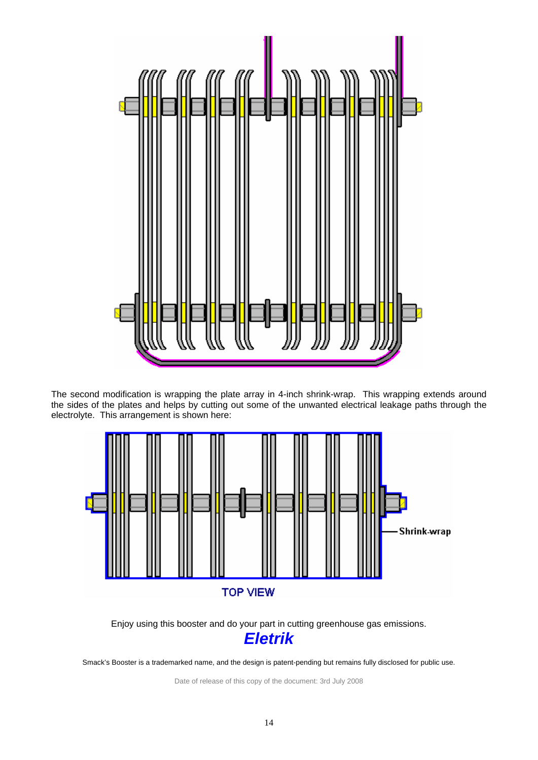

The second modification is wrapping the plate array in 4-inch shrink-wrap. This wrapping extends around the sides of the plates and helps by cutting out some of the unwanted electrical leakage paths through the electrolyte. This arrangement is shown here:



Enjoy using this booster and do your part in cutting greenhouse gas emissions. *Eletrik* 

Smack's Booster is a trademarked name, and the design is patent-pending but remains fully disclosed for public use.

Date of release of this copy of the document: 3rd July 2008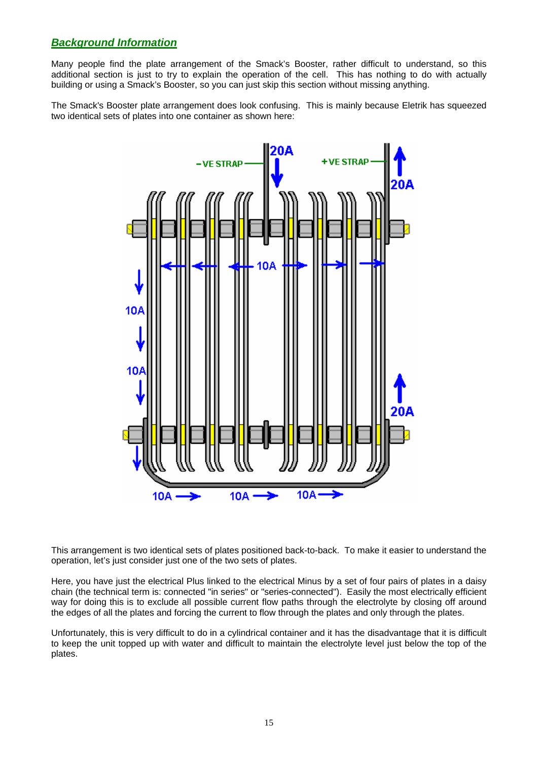## *Background Information*

Many people find the plate arrangement of the Smack's Booster, rather difficult to understand, so this additional section is just to try to explain the operation of the cell. This has nothing to do with actually building or using a Smack's Booster, so you can just skip this section without missing anything.

The Smack's Booster plate arrangement does look confusing. This is mainly because Eletrik has squeezed two identical sets of plates into one container as shown here:



This arrangement is two identical sets of plates positioned back-to-back. To make it easier to understand the operation, let's just consider just one of the two sets of plates.

Here, you have just the electrical Plus linked to the electrical Minus by a set of four pairs of plates in a daisy chain (the technical term is: connected "in series" or "series-connected"). Easily the most electrically efficient way for doing this is to exclude all possible current flow paths through the electrolyte by closing off around the edges of all the plates and forcing the current to flow through the plates and only through the plates.

Unfortunately, this is very difficult to do in a cylindrical container and it has the disadvantage that it is difficult to keep the unit topped up with water and difficult to maintain the electrolyte level just below the top of the plates.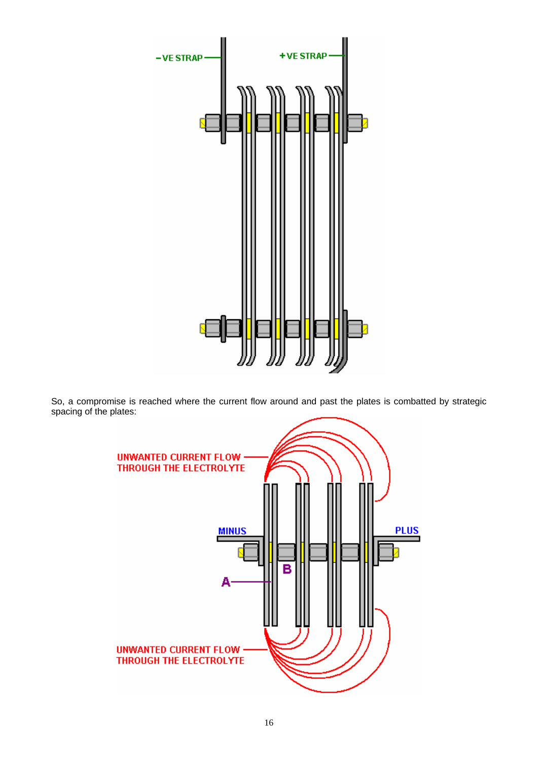

So, a compromise is reached where the current flow around and past the plates is combatted by strategic spacing of the plates:

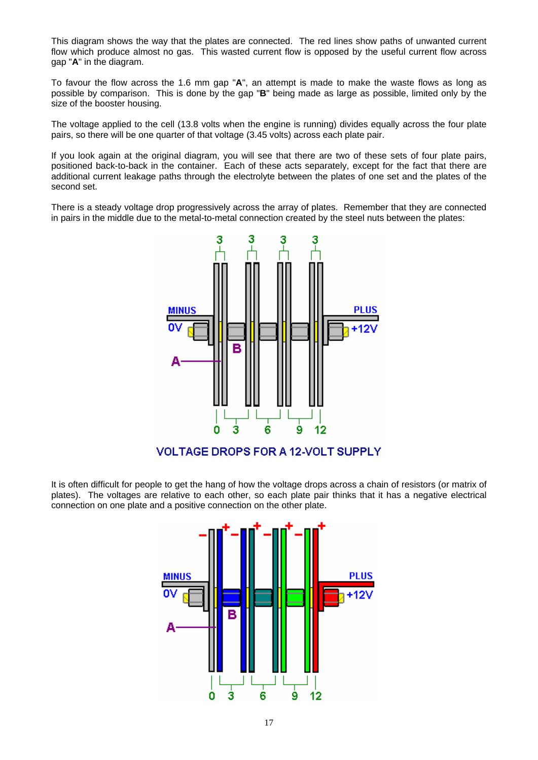This diagram shows the way that the plates are connected. The red lines show paths of unwanted current flow which produce almost no gas. This wasted current flow is opposed by the useful current flow across gap "**A**" in the diagram.

To favour the flow across the 1.6 mm gap "**A**", an attempt is made to make the waste flows as long as possible by comparison. This is done by the gap "**B**" being made as large as possible, limited only by the size of the booster housing.

The voltage applied to the cell (13.8 volts when the engine is running) divides equally across the four plate pairs, so there will be one quarter of that voltage (3.45 volts) across each plate pair.

If you look again at the original diagram, you will see that there are two of these sets of four plate pairs, positioned back-to-back in the container. Each of these acts separately, except for the fact that there are additional current leakage paths through the electrolyte between the plates of one set and the plates of the second set.

There is a steady voltage drop progressively across the array of plates. Remember that they are connected in pairs in the middle due to the metal-to-metal connection created by the steel nuts between the plates:



**VOLTAGE DROPS FOR A 12-VOLT SUPPLY** 

It is often difficult for people to get the hang of how the voltage drops across a chain of resistors (or matrix of plates). The voltages are relative to each other, so each plate pair thinks that it has a negative electrical connection on one plate and a positive connection on the other plate.